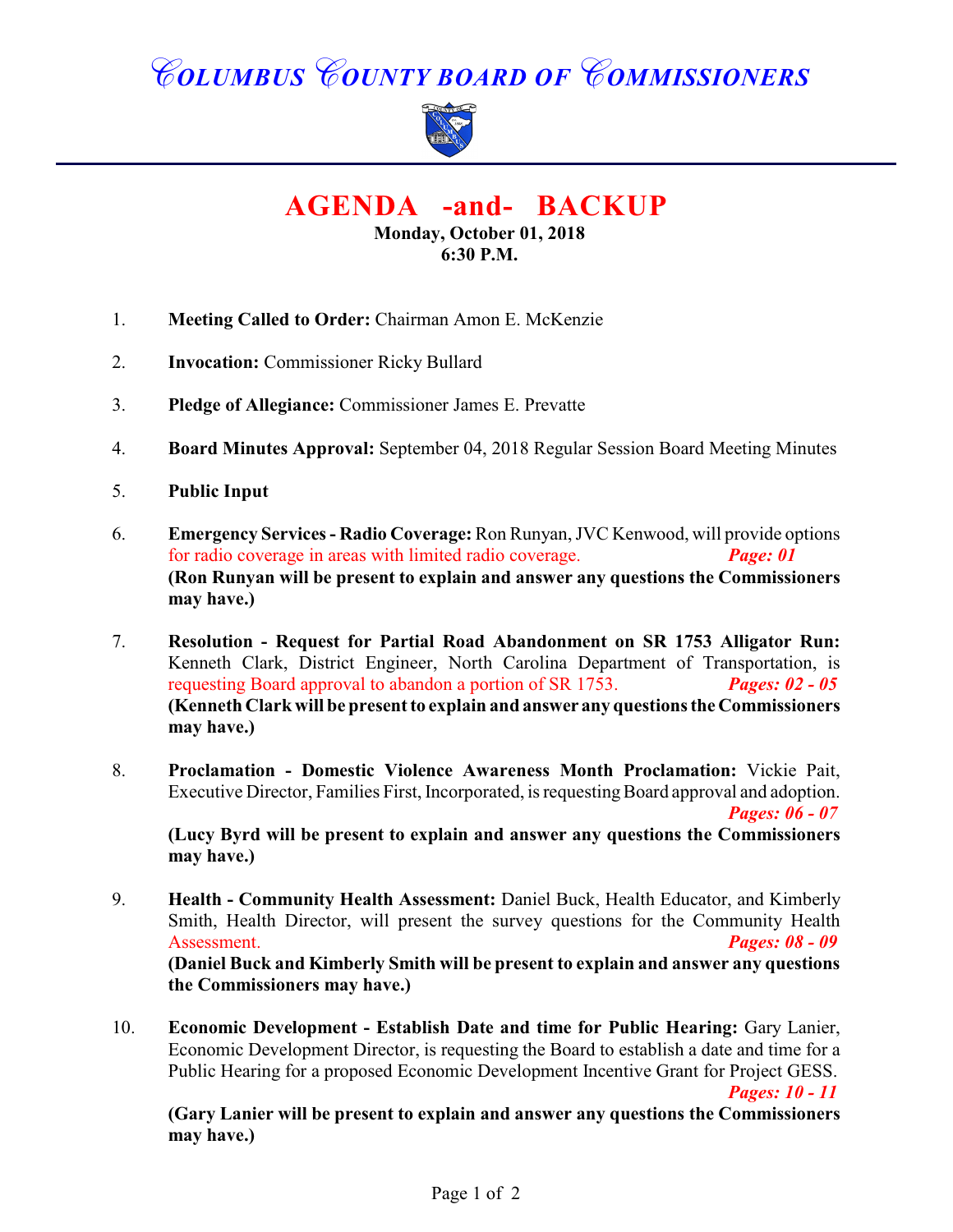# *COLUMBUS COUNTY BOARD OF COMMISSIONERS*



**AGENDA -and- BACKUP**

**Monday, October 01, 2018 6:30 P.M.**

- 1. **Meeting Called to Order:** Chairman Amon E. McKenzie
- 2. **Invocation:** Commissioner Ricky Bullard
- 3. **Pledge of Allegiance:** Commissioner James E. Prevatte
- 4. **Board Minutes Approval:** September 04, 2018 Regular Session Board Meeting Minutes
- 5. **Public Input**
- 6. **Emergency Services Radio Coverage:** Ron Runyan, JVC Kenwood, will provide options for radio coverage in areas with limited radio coverage. *Page: 01* **(Ron Runyan will be present to explain and answer any questions the Commissioners may have.)**
- 7. **Resolution Request for Partial Road Abandonment on SR 1753 Alligator Run:** Kenneth Clark, District Engineer, North Carolina Department of Transportation, is requesting Board approval to abandon a portion of SR 1753. *Pages: 02 - 05* **(Kenneth Clark will be present to explain and answer any questions the Commissioners may have.)**
- 8. **Proclamation Domestic Violence Awareness Month Proclamation:** Vickie Pait, Executive Director, Families First, Incorporated, is requesting Board approval and adoption. *Pages: 06 - 07*

**(Lucy Byrd will be present to explain and answer any questions the Commissioners may have.)**

- 9. **Health Community Health Assessment:** Daniel Buck, Health Educator, and Kimberly Smith, Health Director, will present the survey questions for the Community Health Assessment. *Pages: 08 - 09* **(Daniel Buck and Kimberly Smith will be present to explain and answer any questions the Commissioners may have.)**
- 10. **Economic Development Establish Date and time for Public Hearing:** Gary Lanier, Economic Development Director, is requesting the Board to establish a date and time for a Public Hearing for a proposed Economic Development Incentive Grant for Project GESS.

*Pages: 10 - 11*

**(Gary Lanier will be present to explain and answer any questions the Commissioners may have.)**